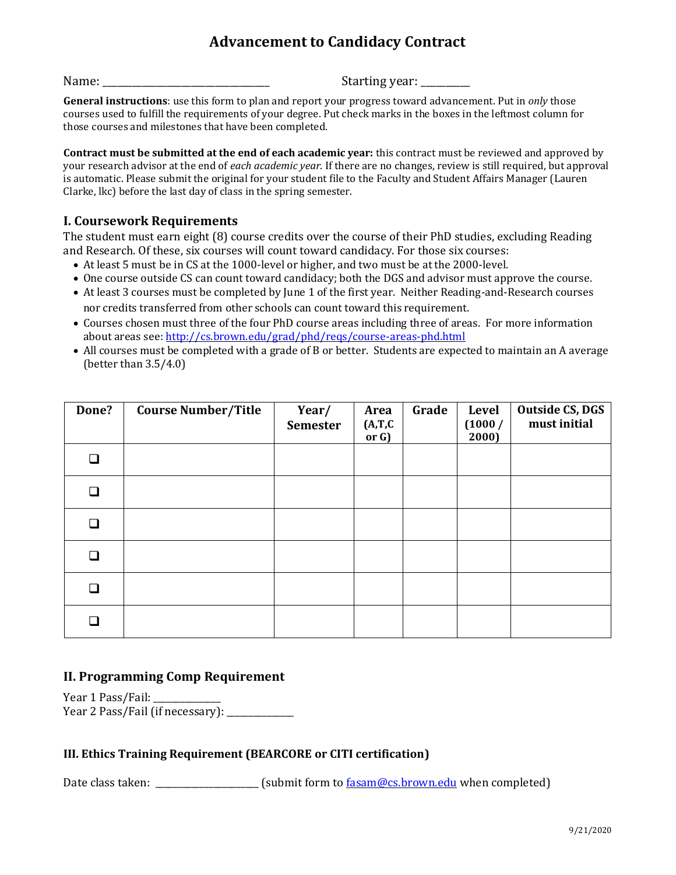# **Advancement to Candidacy Contract**

Name: \_\_\_\_\_\_\_\_\_\_\_\_\_\_\_\_\_\_\_\_\_\_\_\_\_\_\_\_\_\_\_\_\_\_ Starting year: \_\_\_\_\_\_\_\_\_\_

**General instructions**: use this form to plan and report your progress toward advancement. Put in *only* those courses used to fulfill the requirements of your degree. Put check marks in the boxes in the leftmost column for those courses and milestones that have been completed.

**Contract must be submitted at the end of each academic year:** this contract must be reviewed and approved by your research advisor at the end of *each academic year*. If there are no changes, review is still required, but approval is automatic. Please submit the original for your student file to the Faculty and Student Affairs Manager (Lauren Clarke, lkc) before the last day of class in the spring semester.

## **I. Coursework Requirements**

The student must earn eight (8) course credits over the course of their PhD studies, excluding Reading and Research. Of these, six courses will count toward candidacy. For those six courses:

- At least 5 must be in CS at the 1000-level or higher, and two must be at the 2000-level.
- One course outside CS can count toward candidacy; both the DGS and advisor must approve the course.
- At least 3 courses must be completed by June 1 of the first year. Neither Reading-and-Research courses nor credits transferred from other schools can count toward this requirement.
- Courses chosen must three of the four PhD course areas including three of areas. For more information about areas see:<http://cs.brown.edu/grad/phd/reqs/course-areas-phd.html>
- All courses must be completed with a grade of B or better. Students are expected to maintain an A average (better than 3.5/4.0)

| Done?  | <b>Course Number/Title</b> | Year/<br><b>Semester</b> | Area<br>(A, T, C)<br>or G) | Grade | Level<br>(1000/<br>2000) | Outside CS, DGS<br>must initial |
|--------|----------------------------|--------------------------|----------------------------|-------|--------------------------|---------------------------------|
| ❏      |                            |                          |                            |       |                          |                                 |
| $\Box$ |                            |                          |                            |       |                          |                                 |
| ❏      |                            |                          |                            |       |                          |                                 |
| ❏      |                            |                          |                            |       |                          |                                 |
| ❏      |                            |                          |                            |       |                          |                                 |
| □      |                            |                          |                            |       |                          |                                 |

# **II. Programming Comp Requirement**

Year 1 Pass/Fail: Year 2 Pass/Fail (if necessary): \_\_\_\_\_\_\_\_\_\_

#### **III. Ethics Training Requirement (BEARCORE or CITI certification)**

Date class taken: \_\_\_\_\_\_\_\_\_\_\_\_\_\_\_\_\_\_\_\_\_\_\_\_\_\_ (submit form to  $\frac{fasan@cs.brown.edu}{fasm@cs.brown.edu}$  when completed)